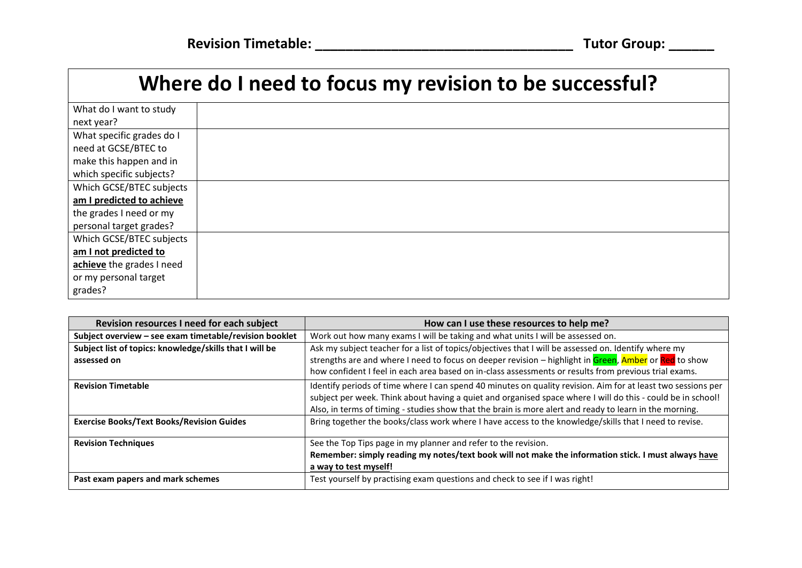| Where do I need to focus my revision to be successful? |  |  |  |  |  |  |
|--------------------------------------------------------|--|--|--|--|--|--|
| What do I want to study                                |  |  |  |  |  |  |
| next year?                                             |  |  |  |  |  |  |
| What specific grades do I                              |  |  |  |  |  |  |
| need at GCSE/BTEC to                                   |  |  |  |  |  |  |
| make this happen and in                                |  |  |  |  |  |  |
| which specific subjects?                               |  |  |  |  |  |  |
| Which GCSE/BTEC subjects                               |  |  |  |  |  |  |
| am I predicted to achieve                              |  |  |  |  |  |  |
| the grades I need or my                                |  |  |  |  |  |  |
| personal target grades?                                |  |  |  |  |  |  |
| Which GCSE/BTEC subjects                               |  |  |  |  |  |  |
| am I not predicted to                                  |  |  |  |  |  |  |
| achieve the grades I need                              |  |  |  |  |  |  |
| or my personal target                                  |  |  |  |  |  |  |
| grades?                                                |  |  |  |  |  |  |

| Revision resources I need for each subject                             | How can I use these resources to help me?                                                                                                                                                                                                                                                                                              |  |  |  |  |
|------------------------------------------------------------------------|----------------------------------------------------------------------------------------------------------------------------------------------------------------------------------------------------------------------------------------------------------------------------------------------------------------------------------------|--|--|--|--|
| Subject overview - see exam timetable/revision booklet                 | Work out how many exams I will be taking and what units I will be assessed on.                                                                                                                                                                                                                                                         |  |  |  |  |
| Subject list of topics: knowledge/skills that I will be<br>assessed on | Ask my subject teacher for a list of topics/objectives that I will be assessed on. Identify where my<br>strengths are and where I need to focus on deeper revision - highlight in Green, Amber or Red to show<br>how confident I feel in each area based on in-class assessments or results from previous trial exams.                 |  |  |  |  |
| <b>Revision Timetable</b>                                              | Identify periods of time where I can spend 40 minutes on quality revision. Aim for at least two sessions per<br>subject per week. Think about having a quiet and organised space where I will do this - could be in school!<br>Also, in terms of timing - studies show that the brain is more alert and ready to learn in the morning. |  |  |  |  |
| <b>Exercise Books/Text Books/Revision Guides</b>                       | Bring together the books/class work where I have access to the knowledge/skills that I need to revise.                                                                                                                                                                                                                                 |  |  |  |  |
| <b>Revision Techniques</b>                                             | See the Top Tips page in my planner and refer to the revision.<br>Remember: simply reading my notes/text book will not make the information stick. I must always have<br>a way to test myself!                                                                                                                                         |  |  |  |  |
| Past exam papers and mark schemes                                      | Test yourself by practising exam questions and check to see if I was right!                                                                                                                                                                                                                                                            |  |  |  |  |